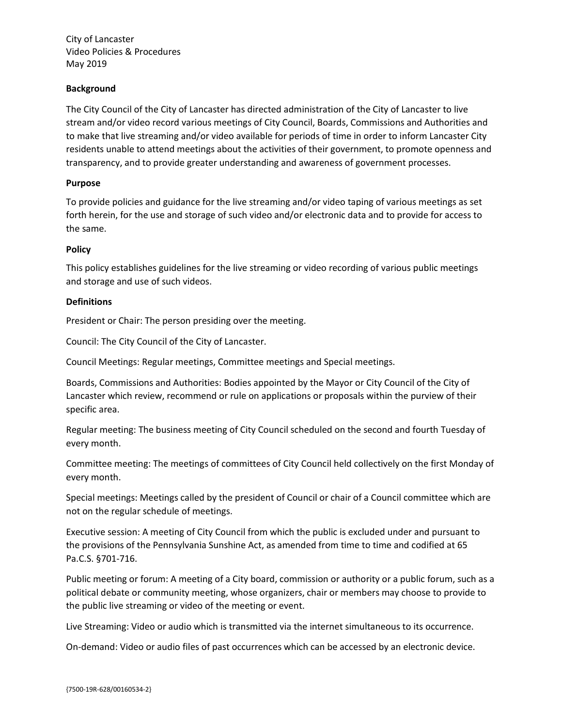City of Lancaster Video Policies & Procedures May 2019

## **Background**

The City Council of the City of Lancaster has directed administration of the City of Lancaster to live stream and/or video record various meetings of City Council, Boards, Commissions and Authorities and to make that live streaming and/or video available for periods of time in order to inform Lancaster City residents unable to attend meetings about the activities of their government, to promote openness and transparency, and to provide greater understanding and awareness of government processes.

## **Purpose**

To provide policies and guidance for the live streaming and/or video taping of various meetings as set forth herein, for the use and storage of such video and/or electronic data and to provide for access to the same.

# **Policy**

This policy establishes guidelines for the live streaming or video recording of various public meetings and storage and use of such videos.

## **Definitions**

President or Chair: The person presiding over the meeting.

Council: The City Council of the City of Lancaster.

Council Meetings: Regular meetings, Committee meetings and Special meetings.

Boards, Commissions and Authorities: Bodies appointed by the Mayor or City Council of the City of Lancaster which review, recommend or rule on applications or proposals within the purview of their specific area.

Regular meeting: The business meeting of City Council scheduled on the second and fourth Tuesday of every month.

Committee meeting: The meetings of committees of City Council held collectively on the first Monday of every month.

Special meetings: Meetings called by the president of Council or chair of a Council committee which are not on the regular schedule of meetings.

Executive session: A meeting of City Council from which the public is excluded under and pursuant to the provisions of the Pennsylvania Sunshine Act, as amended from time to time and codified at 65 Pa.C.S. §701-716.

Public meeting or forum: A meeting of a City board, commission or authority or a public forum, such as a political debate or community meeting, whose organizers, chair or members may choose to provide to the public live streaming or video of the meeting or event.

Live Streaming: Video or audio which is transmitted via the internet simultaneous to its occurrence.

On-demand: Video or audio files of past occurrences which can be accessed by an electronic device.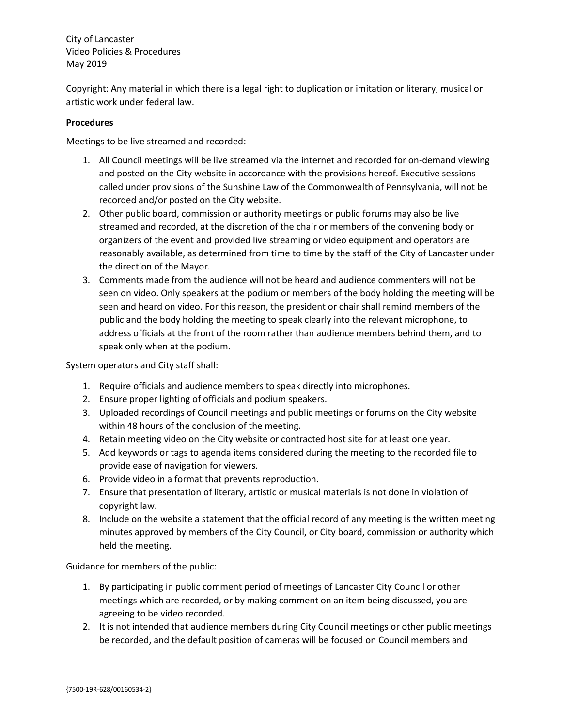City of Lancaster Video Policies & Procedures May 2019

Copyright: Any material in which there is a legal right to duplication or imitation or literary, musical or artistic work under federal law.

#### **Procedures**

Meetings to be live streamed and recorded:

- 1. All Council meetings will be live streamed via the internet and recorded for on-demand viewing and posted on the City website in accordance with the provisions hereof. Executive sessions called under provisions of the Sunshine Law of the Commonwealth of Pennsylvania, will not be recorded and/or posted on the City website.
- 2. Other public board, commission or authority meetings or public forums may also be live streamed and recorded, at the discretion of the chair or members of the convening body or organizers of the event and provided live streaming or video equipment and operators are reasonably available, as determined from time to time by the staff of the City of Lancaster under the direction of the Mayor.
- 3. Comments made from the audience will not be heard and audience commenters will not be seen on video. Only speakers at the podium or members of the body holding the meeting will be seen and heard on video. For this reason, the president or chair shall remind members of the public and the body holding the meeting to speak clearly into the relevant microphone, to address officials at the front of the room rather than audience members behind them, and to speak only when at the podium.

System operators and City staff shall:

- 1. Require officials and audience members to speak directly into microphones.
- 2. Ensure proper lighting of officials and podium speakers.
- 3. Uploaded recordings of Council meetings and public meetings or forums on the City website within 48 hours of the conclusion of the meeting.
- 4. Retain meeting video on the City website or contracted host site for at least one year.
- 5. Add keywords or tags to agenda items considered during the meeting to the recorded file to provide ease of navigation for viewers.
- 6. Provide video in a format that prevents reproduction.
- 7. Ensure that presentation of literary, artistic or musical materials is not done in violation of copyright law.
- 8. Include on the website a statement that the official record of any meeting is the written meeting minutes approved by members of the City Council, or City board, commission or authority which held the meeting.

Guidance for members of the public:

- 1. By participating in public comment period of meetings of Lancaster City Council or other meetings which are recorded, or by making comment on an item being discussed, you are agreeing to be video recorded.
- 2. It is not intended that audience members during City Council meetings or other public meetings be recorded, and the default position of cameras will be focused on Council members and